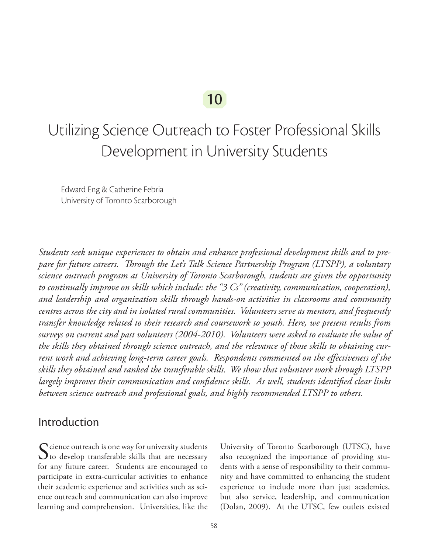# 10

# Utilizing Science Outreach to Foster Professional Skills Development in University Students

Edward Eng & Catherine Febria University of Toronto Scarborough

*Students seek unique experiences to obtain and enhance professional development skills and to prepare for future careers. Through the Let's Talk Science Partnership Program (LTSPP), a voluntary science outreach program at University of Toronto Scarborough, students are given the opportunity to continually improve on skills which include: the "3 Cs" (creativity, communication, cooperation), and leadership and organization skills through hands-on activities in classrooms and community centres across the city and in isolated rural communities. Volunteers serve as mentors, and frequently transfer knowledge related to their research and coursework to youth. Here, we present results from surveys on current and past volunteers (2004-2010). Volunteers were asked to evaluate the value of the skills they obtained through science outreach, and the relevance of those skills to obtaining current work and achieving long-term career goals. Respondents commented on the effectiveness of the skills they obtained and ranked the transferable skills. We show that volunteer work through LTSPP largely improves their communication and confidence skills. As well, students identified clear links between science outreach and professional goals, and highly recommended LTSPP to others.*

#### Introduction

Science outreach is one way for university students<br>to develop transferable skills that are necessary for any future career. Students are encouraged to participate in extra-curricular activities to enhance their academic experience and activities such as science outreach and communication can also improve learning and comprehension. Universities, like the

University of Toronto Scarborough (UTSC), have also recognized the importance of providing students with a sense of responsibility to their community and have committed to enhancing the student experience to include more than just academics, but also service, leadership, and communication (Dolan, 2009). At the UTSC, few outlets existed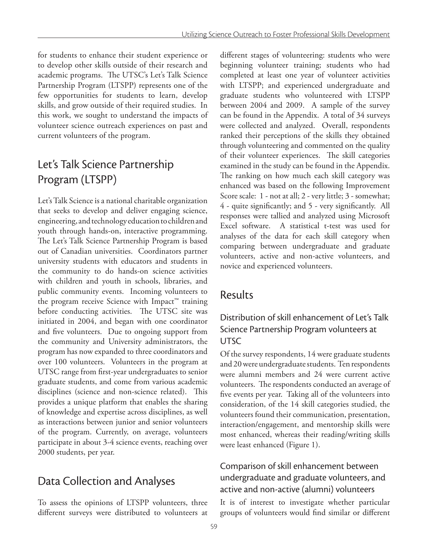for students to enhance their student experience or to develop other skills outside of their research and academic programs. The UTSC's Let's Talk Science Partnership Program (LTSPP) represents one of the few opportunities for students to learn, develop skills, and grow outside of their required studies. In this work, we sought to understand the impacts of volunteer science outreach experiences on past and current volunteers of the program.

# Let's Talk Science Partnership Program (LTSPP)

Let's Talk Science is a national charitable organization that seeks to develop and deliver engaging science, engineering, and technology education to children and youth through hands-on, interactive programming. The Let's Talk Science Partnership Program is based out of Canadian universities. Coordinators partner university students with educators and students in the community to do hands-on science activities with children and youth in schools, libraries, and public community events. Incoming volunteers to the program receive Science with Impact™ training before conducting activities. The UTSC site was initiated in 2004, and began with one coordinator and five volunteers. Due to ongoing support from the community and University administrators, the program has now expanded to three coordinators and over 100 volunteers. Volunteers in the program at UTSC range from first-year undergraduates to senior graduate students, and come from various academic disciplines (science and non-science related). This provides a unique platform that enables the sharing of knowledge and expertise across disciplines, as well as interactions between junior and senior volunteers of the program. Currently, on average, volunteers participate in about 3-4 science events, reaching over 2000 students, per year.

# Data Collection and Analyses

To assess the opinions of LTSPP volunteers, three different surveys were distributed to volunteers at different stages of volunteering: students who were beginning volunteer training; students who had completed at least one year of volunteer activities with LTSPP; and experienced undergraduate and graduate students who volunteered with LTSPP between 2004 and 2009. A sample of the survey can be found in the Appendix. A total of 34 surveys were collected and analyzed. Overall, respondents ranked their perceptions of the skills they obtained through volunteering and commented on the quality of their volunteer experiences. The skill categories examined in the study can be found in the Appendix. The ranking on how much each skill category was enhanced was based on the following Improvement Score scale: 1 - not at all; 2 - very little; 3 - somewhat; 4 - quite significantly; and 5 - very significantly. All responses were tallied and analyzed using Microsoft Excel software. A statistical t-test was used for analyses of the data for each skill category when comparing between undergraduate and graduate volunteers, active and non-active volunteers, and novice and experienced volunteers.

### Results

#### Distribution of skill enhancement of Let's Talk Science Partnership Program volunteers at **UTSC**

Of the survey respondents, 14 were graduate students and 20 were undergraduate students. Ten respondents were alumni members and 24 were current active volunteers. The respondents conducted an average of five events per year. Taking all of the volunteers into consideration, of the 14 skill categories studied, the volunteers found their communication, presentation, interaction/engagement, and mentorship skills were most enhanced, whereas their reading/writing skills were least enhanced (Figure 1).

#### Comparison of skill enhancement between undergraduate and graduate volunteers, and active and non-active (alumni) volunteers

It is of interest to investigate whether particular groups of volunteers would find similar or different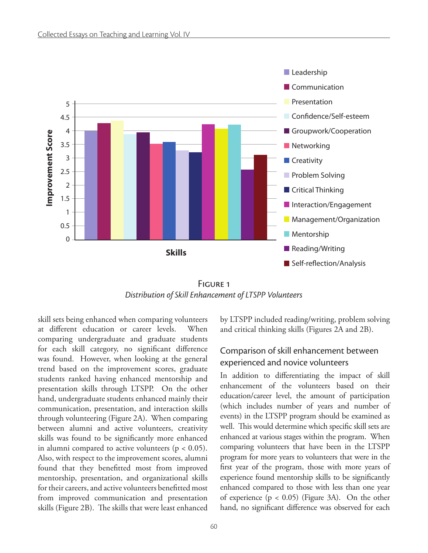

FIGURE<sub>1</sub> *Distribution of Skill Enhancement of LTSPP Volunteers*

skill sets being enhanced when comparing volunteers at different education or career levels. When comparing undergraduate and graduate students for each skill category, no significant difference was found. However, when looking at the general trend based on the improvement scores, graduate students ranked having enhanced mentorship and presentation skills through LTSPP. On the other hand, undergraduate students enhanced mainly their communication, presentation, and interaction skills through volunteering (Figure 2A). When comparing between alumni and active volunteers, creativity skills was found to be significantly more enhanced in alumni compared to active volunteers ( $p < 0.05$ ). Also, with respect to the improvement scores, alumni found that they benefitted most from improved mentorship, presentation, and organizational skills for their careers, and active volunteers benefitted most from improved communication and presentation skills (Figure 2B). The skills that were least enhanced

by LTSPP included reading/writing, problem solving and critical thinking skills (Figures 2A and 2B).

#### Comparison of skill enhancement between experienced and novice volunteers

In addition to differentiating the impact of skill enhancement of the volunteers based on their education/career level, the amount of participation (which includes number of years and number of events) in the LTSPP program should be examined as well. This would determine which specific skill sets are enhanced at various stages within the program. When comparing volunteers that have been in the LTSPP program for more years to volunteers that were in the first year of the program, those with more years of experience found mentorship skills to be significantly enhanced compared to those with less than one year of experience  $(p < 0.05)$  (Figure 3A). On the other hand, no significant difference was observed for each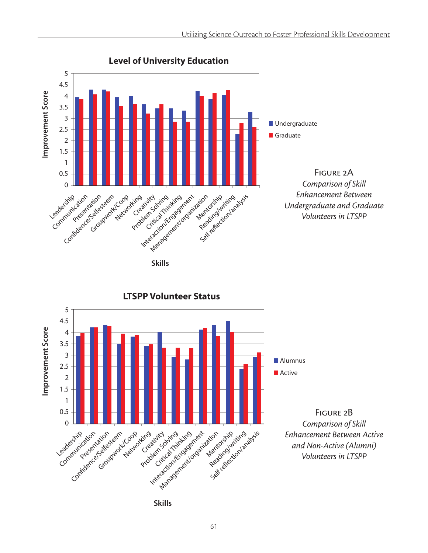

#### **Level of University Education**



**LTSPP Volunteer Status**

**Skills**

Figure 2B *Comparison of Skill Enhancement Between Active and Non-Active (Alumni) Volunteers in LTSPP*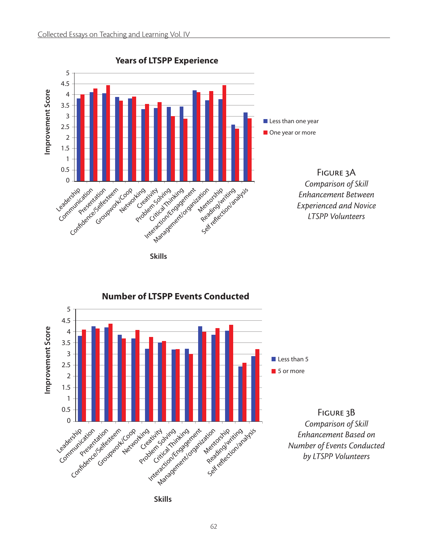

**Skills**



**Number of LTSPP Events Conducted**

**Skills**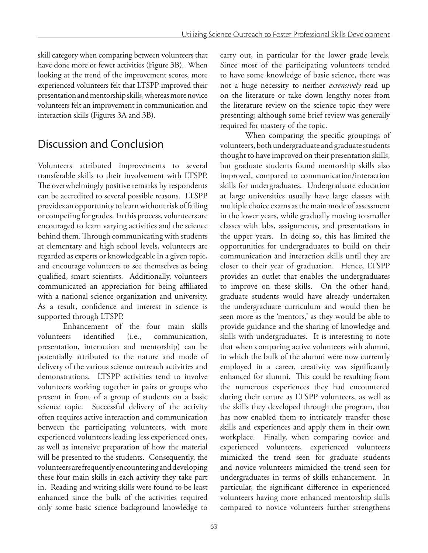skill category when comparing between volunteers that have done more or fewer activities (Figure 3B). When looking at the trend of the improvement scores, more experienced volunteers felt that LTSPP improved their presentation and mentorship skills, whereas more novice volunteers felt an improvement in communication and interaction skills (Figures 3A and 3B).

# Discussion and Conclusion

Volunteers attributed improvements to several transferable skills to their involvement with LTSPP. The overwhelmingly positive remarks by respondents can be accredited to several possible reasons. LTSPP provides an opportunity to learn without risk of failing or competing for grades. In this process, volunteers are encouraged to learn varying activities and the science behind them. Through communicating with students at elementary and high school levels, volunteers are regarded as experts or knowledgeable in a given topic, and encourage volunteers to see themselves as being qualified, smart scientists. Additionally, volunteers communicated an appreciation for being affiliated with a national science organization and university. As a result, confidence and interest in science is supported through LTSPP.

Enhancement of the four main skills volunteers identified (i.e., communication, presentation, interaction and mentorship) can be potentially attributed to the nature and mode of delivery of the various science outreach activities and demonstrations. LTSPP activities tend to involve volunteers working together in pairs or groups who present in front of a group of students on a basic science topic. Successful delivery of the activity often requires active interaction and communication between the participating volunteers, with more experienced volunteers leading less experienced ones, as well as intensive preparation of how the material will be presented to the students. Consequently, the volunteers are frequently encountering and developing these four main skills in each activity they take part in. Reading and writing skills were found to be least enhanced since the bulk of the activities required only some basic science background knowledge to

carry out, in particular for the lower grade levels. Since most of the participating volunteers tended to have some knowledge of basic science, there was not a huge necessity to neither *extensively* read up on the literature or take down lengthy notes from the literature review on the science topic they were presenting; although some brief review was generally required for mastery of the topic.

When comparing the specific groupings of volunteers, both undergraduate and graduate students thought to have improved on their presentation skills, but graduate students found mentorship skills also improved, compared to communication/interaction skills for undergraduates. Undergraduate education at large universities usually have large classes with multiple choice exams as the main mode of assessment in the lower years, while gradually moving to smaller classes with labs, assignments, and presentations in the upper years. In doing so, this has limited the opportunities for undergraduates to build on their communication and interaction skills until they are closer to their year of graduation. Hence, LTSPP provides an outlet that enables the undergraduates to improve on these skills. On the other hand, graduate students would have already undertaken the undergraduate curriculum and would then be seen more as the 'mentors,' as they would be able to provide guidance and the sharing of knowledge and skills with undergraduates. It is interesting to note that when comparing active volunteers with alumni, in which the bulk of the alumni were now currently employed in a career, creativity was significantly enhanced for alumni. This could be resulting from the numerous experiences they had encountered during their tenure as LTSPP volunteers, as well as the skills they developed through the program, that has now enabled them to intricately transfer those skills and experiences and apply them in their own workplace. Finally, when comparing novice and experienced volunteers, experienced volunteers mimicked the trend seen for graduate students and novice volunteers mimicked the trend seen for undergraduates in terms of skills enhancement. In particular, the significant difference in experienced volunteers having more enhanced mentorship skills compared to novice volunteers further strengthens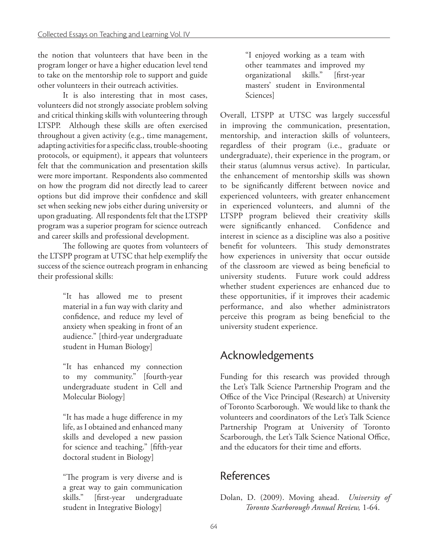the notion that volunteers that have been in the program longer or have a higher education level tend to take on the mentorship role to support and guide other volunteers in their outreach activities.

It is also interesting that in most cases, volunteers did not strongly associate problem solving and critical thinking skills with volunteering through LTSPP. Although these skills are often exercised throughout a given activity (e.g., time management, adapting activities for a specific class, trouble-shooting protocols, or equipment), it appears that volunteers felt that the communication and presentation skills were more important. Respondents also commented on how the program did not directly lead to career options but did improve their confidence and skill set when seeking new jobs either during university or upon graduating. All respondents felt that the LTSPP program was a superior program for science outreach and career skills and professional development.

The following are quotes from volunteers of the LTSPP program at UTSC that help exemplify the success of the science outreach program in enhancing their professional skills:

> "It has allowed me to present material in a fun way with clarity and confidence, and reduce my level of anxiety when speaking in front of an audience." [third-year undergraduate student in Human Biology]

> "It has enhanced my connection to my community." [fourth-year undergraduate student in Cell and Molecular Biology]

> "It has made a huge difference in my life, as I obtained and enhanced many skills and developed a new passion for science and teaching." [fifth-year doctoral student in Biology]

> "The program is very diverse and is a great way to gain communication skills." [first-year undergraduate student in Integrative Biology]

"I enjoyed working as a team with other teammates and improved my organizational skills." [first-year masters' student in Environmental Sciences]

Overall, LTSPP at UTSC was largely successful in improving the communication, presentation, mentorship, and interaction skills of volunteers, regardless of their program (i.e., graduate or undergraduate), their experience in the program, or their status (alumnus versus active). In particular, the enhancement of mentorship skills was shown to be significantly different between novice and experienced volunteers, with greater enhancement in experienced volunteers, and alumni of the LTSPP program believed their creativity skills were significantly enhanced. Confidence and interest in science as a discipline was also a positive benefit for volunteers. This study demonstrates how experiences in university that occur outside of the classroom are viewed as being beneficial to university students. Future work could address whether student experiences are enhanced due to these opportunities, if it improves their academic performance, and also whether administrators perceive this program as being beneficial to the university student experience.

# Acknowledgements

Funding for this research was provided through the Let's Talk Science Partnership Program and the Office of the Vice Principal (Research) at University of Toronto Scarborough. We would like to thank the volunteers and coordinators of the Let's Talk Science Partnership Program at University of Toronto Scarborough, the Let's Talk Science National Office, and the educators for their time and efforts.

### References

Dolan, D. (2009). Moving ahead. *University of Toronto Scarborough Annual Review,* 1-64.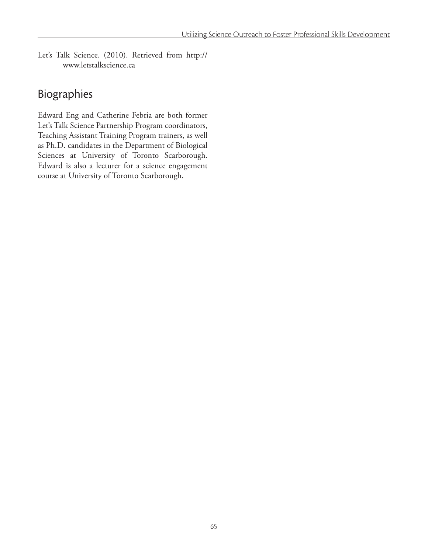Let's Talk Science. (2010). Retrieved from http:// www.letstalkscience.ca

### Biographies

Edward Eng and Catherine Febria are both former Let's Talk Science Partnership Program coordinators, Teaching Assistant Training Program trainers, as well as Ph.D. candidates in the Department of Biological Sciences at University of Toronto Scarborough. Edward is also a lecturer for a science engagement course at University of Toronto Scarborough.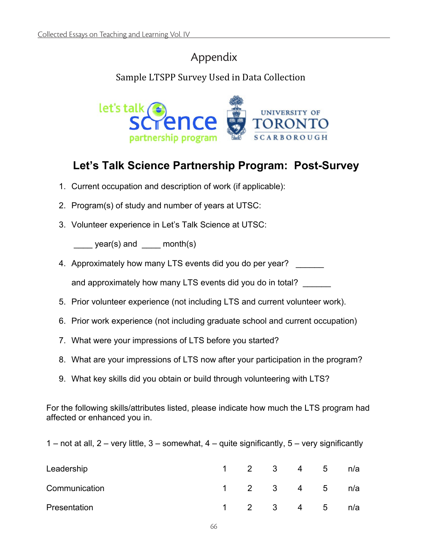#### **Appendix**  Appendix

### Sample LTSPP Survey Used in Data Collection



### **Let's Talk Science Partnership Program: Post-Survey**

- 1. Current occupation and description of work (if applicable):
- 2. Program(s) of study and number of years at UTSC:
- 3. Volunteer experience in Let's Talk Science at UTSC:

 $\frac{1}{\sqrt{1-\frac{1}{c}}}\text{year(s)}$  and  $\frac{1}{\sqrt{1-\frac{1}{c}}}\text{month(s)}$ 

4. Approximately how many LTS events did you do per year? and approximately how many LTS events did you do in total?

- 5. Prior volunteer experience (not including LTS and current volunteer work).
- 6. Prior work experience (not including graduate school and current occupation)
- 7. What were your impressions of LTS before you started?
- 8. What are your impressions of LTS now after your participation in the program?
- 9. What key skills did you obtain or build through volunteering with LTS?

For the following skills/attributes listed, please indicate how much the LTS program had affected or enhanced you in.

1 – not at all, 2 – very little, 3 – somewhat, 4 – quite significantly, 5 – very significantly

| Leadership    | $1 \quad 2 \quad 3$ | $\overline{4}$                                          | $-5$ | n/a |
|---------------|---------------------|---------------------------------------------------------|------|-----|
| Communication |                     | $\begin{array}{cccccccc} 1 & 2 & 3 & 4 & 5 \end{array}$ |      | n/a |
| Presentation  |                     | 1 2 3 4 5                                               |      | n/a |